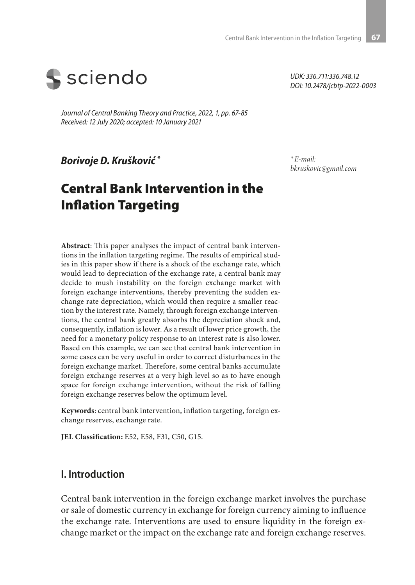

*Journal of Central Banking Theory and Practice, 2022, 1, pp. 67-85 Received: 12 July 2020; accepted: 10 January 2021*

*Borivoje D. Krušković \**

# Central Bank Intervention in the Inflation Targeting

**Abstract**: This paper analyses the impact of central bank interventions in the inflation targeting regime. The results of empirical studies in this paper show if there is a shock of the exchange rate, which would lead to depreciation of the exchange rate, a central bank may decide to mush instability on the foreign exchange market with foreign exchange interventions, thereby preventing the sudden exchange rate depreciation, which would then require a smaller reaction by the interest rate. Namely, through foreign exchange interventions, the central bank greatly absorbs the depreciation shock and, consequently, inflation is lower. As a result of lower price growth, the need for a monetary policy response to an interest rate is also lower. Based on this example, we can see that central bank intervention in some cases can be very useful in order to correct disturbances in the foreign exchange market. Therefore, some central banks accumulate foreign exchange reserves at a very high level so as to have enough space for foreign exchange intervention, without the risk of falling foreign exchange reserves below the optimum level.

**Keywords**: central bank intervention, inflation targeting, foreign exchange reserves, exchange rate.

**JEL Classification:** E52, E58, F31, C50, G15.

#### **I. Introduction**

Central bank intervention in the foreign exchange market involves the purchase or sale of domestic currency in exchange for foreign currency aiming to influence the exchange rate. Interventions are used to ensure liquidity in the foreign exchange market or the impact on the exchange rate and foreign exchange reserves.

*UDK: 336.711:336.748.12 DOI: 10.2478/jcbtp-2022-0003*

*\* E-mail: bkruskovic@gmail.com*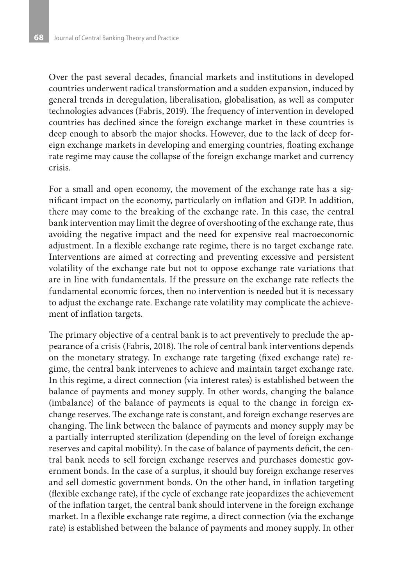Over the past several decades, financial markets and institutions in developed countries underwent radical transformation and a sudden expansion, induced by general trends in deregulation, liberalisation, globalisation, as well as computer technologies advances (Fabris, 2019). The frequency of intervention in developed countries has declined since the foreign exchange market in these countries is deep enough to absorb the major shocks. However, due to the lack of deep foreign exchange markets in developing and emerging countries, floating exchange rate regime may cause the collapse of the foreign exchange market and currency crisis.

For a small and open economy, the movement of the exchange rate has a significant impact on the economy, particularly on inflation and GDP. In addition, there may come to the breaking of the exchange rate. In this case, the central bank intervention may limit the degree of overshooting of the exchange rate, thus avoiding the negative impact and the need for expensive real macroeconomic adjustment. In a flexible exchange rate regime, there is no target exchange rate. Interventions are aimed at correcting and preventing excessive and persistent volatility of the exchange rate but not to oppose exchange rate variations that are in line with fundamentals. If the pressure on the exchange rate reflects the fundamental economic forces, then no intervention is needed but it is necessary to adjust the exchange rate. Exchange rate volatility may complicate the achievement of inflation targets.

The primary objective of a central bank is to act preventively to preclude the appearance of a crisis (Fabris, 2018). The role of central bank interventions depends on the monetary strategy. In exchange rate targeting (fixed exchange rate) regime, the central bank intervenes to achieve and maintain target exchange rate. In this regime, a direct connection (via interest rates) is established between the balance of payments and money supply. In other words, changing the balance (imbalance) of the balance of payments is equal to the change in foreign exchange reserves. The exchange rate is constant, and foreign exchange reserves are changing. The link between the balance of payments and money supply may be a partially interrupted sterilization (depending on the level of foreign exchange reserves and capital mobility). In the case of balance of payments deficit, the central bank needs to sell foreign exchange reserves and purchases domestic government bonds. In the case of a surplus, it should buy foreign exchange reserves and sell domestic government bonds. On the other hand, in inflation targeting (flexible exchange rate), if the cycle of exchange rate jeopardizes the achievement of the inflation target, the central bank should intervene in the foreign exchange market. In a flexible exchange rate regime, a direct connection (via the exchange rate) is established between the balance of payments and money supply. In other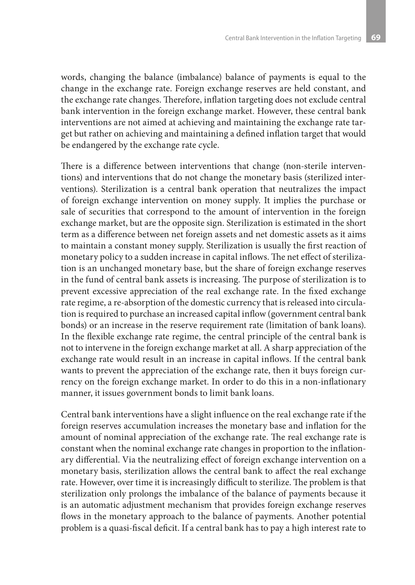words, changing the balance (imbalance) balance of payments is equal to the change in the exchange rate. Foreign exchange reserves are held constant, and the exchange rate changes. Therefore, inflation targeting does not exclude central bank intervention in the foreign exchange market. However, these central bank interventions are not aimed at achieving and maintaining the exchange rate target but rather on achieving and maintaining a defined inflation target that would be endangered by the exchange rate cycle.

There is a difference between interventions that change (non-sterile interventions) and interventions that do not change the monetary basis (sterilized interventions). Sterilization is a central bank operation that neutralizes the impact of foreign exchange intervention on money supply. It implies the purchase or sale of securities that correspond to the amount of intervention in the foreign exchange market, but are the opposite sign. Sterilization is estimated in the short term as a difference between net foreign assets and net domestic assets as it aims to maintain a constant money supply. Sterilization is usually the first reaction of monetary policy to a sudden increase in capital inflows. The net effect of sterilization is an unchanged monetary base, but the share of foreign exchange reserves in the fund of central bank assets is increasing. The purpose of sterilization is to prevent excessive appreciation of the real exchange rate. In the fixed exchange rate regime, a re-absorption of the domestic currency that is released into circulation is required to purchase an increased capital inflow (government central bank bonds) or an increase in the reserve requirement rate (limitation of bank loans). In the flexible exchange rate regime, the central principle of the central bank is not to intervene in the foreign exchange market at all. A sharp appreciation of the exchange rate would result in an increase in capital inflows. If the central bank wants to prevent the appreciation of the exchange rate, then it buys foreign currency on the foreign exchange market. In order to do this in a non-inflationary manner, it issues government bonds to limit bank loans.

Central bank interventions have a slight influence on the real exchange rate if the foreign reserves accumulation increases the monetary base and inflation for the amount of nominal appreciation of the exchange rate. The real exchange rate is constant when the nominal exchange rate changes in proportion to the inflationary differential. Via the neutralizing effect of foreign exchange intervention on a monetary basis, sterilization allows the central bank to affect the real exchange rate. However, over time it is increasingly difficult to sterilize. The problem is that sterilization only prolongs the imbalance of the balance of payments because it is an automatic adjustment mechanism that provides foreign exchange reserves flows in the monetary approach to the balance of payments. Another potential problem is a quasi-fiscal deficit. If a central bank has to pay a high interest rate to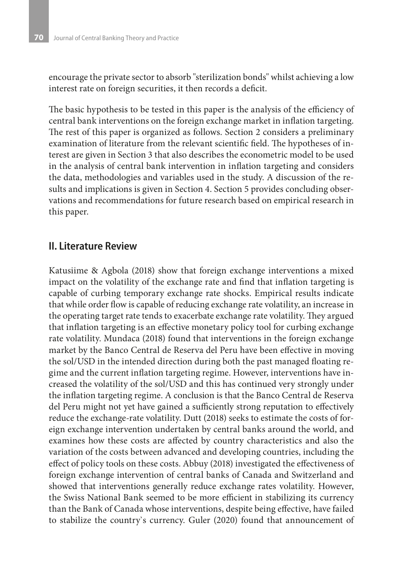encourage the private sector to absorb "sterilization bonds" whilst achieving a low interest rate on foreign securities, it then records a deficit.

The basic hypothesis to be tested in this paper is the analysis of the efficiency of central bank interventions on the foreign exchange market in inflation targeting. The rest of this paper is organized as follows. Section 2 considers a preliminary examination of literature from the relevant scientific field. The hypotheses of interest are given in Section 3 that also describes the econometric model to be used in the analysis of central bank intervention in inflation targeting and considers the data, methodologies and variables used in the study. A discussion of the results and implications is given in Section 4. Section 5 provides concluding observations and recommendations for future research based on empirical research in this paper.

### **II. Literature Review**

Katusiime & Agbola (2018) show that foreign exchange interventions a mixed impact on the volatility of the exchange rate and find that inflation targeting is capable of curbing temporary exchange rate shocks. Empirical results indicate that while order flow is capable of reducing exchange rate volatility, an increase in the operating target rate tends to exacerbate exchange rate volatility. They argued that inflation targeting is an effective monetary policy tool for curbing exchange rate volatility. Mundaca (2018) found that interventions in the foreign exchange market by the Banco Central de Reserva del Peru have been effective in moving the sol/USD in the intended direction during both the past managed floating regime and the current inflation targeting regime. However, interventions have increased the volatility of the sol/USD and this has continued very strongly under the inflation targeting regime. A conclusion is that the Banco Central de Reserva del Peru might not yet have gained a sufficiently strong reputation to effectively reduce the exchange-rate volatility. Dutt (2018) seeks to estimate the costs of foreign exchange intervention undertaken by central banks around the world, and examines how these costs are affected by country characteristics and also the variation of the costs between advanced and developing countries, including the effect of policy tools on these costs. Abbuy (2018) investigated the effectiveness of foreign exchange intervention of central banks of Canada and Switzerland and showed that interventions generally reduce exchange rates volatility. However, the Swiss National Bank seemed to be more efficient in stabilizing its currency than the Bank of Canada whose interventions, despite being effective, have failed to stabilize the country`s currency. Guler (2020) found that announcement of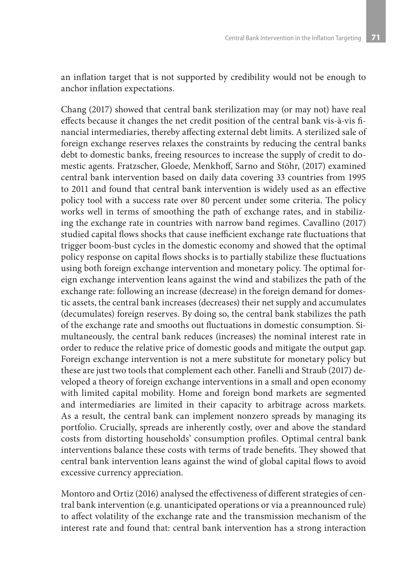an inflation target that is not supported by credibility would not be enough to anchor inflation expectations.

Chang (2017) showed that central bank sterilization may (or may not) have real effects because it changes the net credit position of the central bank vis-à-vis financial intermediaries, thereby affecting external debt limits. A sterilized sale of foreign exchange reserves relaxes the constraints by reducing the central banks debt to domestic banks, freeing resources to increase the supply of credit to domestic agents. Fratzscher, Gloede, Menkhoff, Sarno and Stöhr, (2017) examined central bank intervention based on daily data covering 33 countries from 1995 to 2011 and found that central bank intervention is widely used as an effective policy tool with a success rate over 80 percent under some criteria. The policy works well in terms of smoothing the path of exchange rates, and in stabilizing the exchange rate in countries with narrow band regimes. Cavallino (2017) studied capital flows shocks that cause inefficient exchange rate fluctuations that trigger boom-bust cycles in the domestic economy and showed that the optimal policy response on capital flows shocks is to partially stabilize these fluctuations using both foreign exchange intervention and monetary policy. The optimal foreign exchange intervention leans against the wind and stabilizes the path of the exchange rate: following an increase (decrease) in the foreign demand for domestic assets, the central bank increases (decreases) their net supply and accumulates (decumulates) foreign reserves. By doing so, the central bank stabilizes the path of the exchange rate and smooths out fluctuations in domestic consumption. Simultaneously, the central bank reduces (increases) the nominal interest rate in order to reduce the relative price of domestic goods and mitigate the output gap. Foreign exchange intervention is not a mere substitute for monetary policy but these are just two tools that complement each other. Fanelli and Straub (2017) developed a theory of foreign exchange interventions in a small and open economy with limited capital mobility. Home and foreign bond markets are segmented and intermediaries are limited in their capacity to arbitrage across markets. As a result, the central bank can implement nonzero spreads by managing its portfolio. Crucially, spreads are inherently costly, over and above the standard costs from distorting households' consumption profiles. Optimal central bank interventions balance these costs with terms of trade benefits. They showed that central bank intervention leans against the wind of global capital flows to avoid excessive currency appreciation.

Montoro and Ortiz (2016) analysed the effectiveness of different strategies of central bank intervention (e.g. unanticipated operations or via a preannounced rule) to affect volatility of the exchange rate and the transmission mechanism of the interest rate and found that: central bank intervention has a strong interaction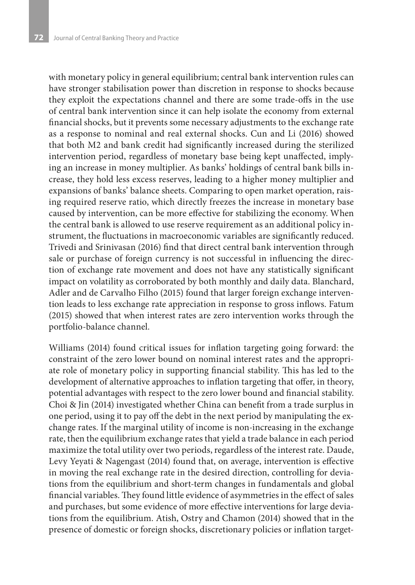with monetary policy in general equilibrium; central bank intervention rules can have stronger stabilisation power than discretion in response to shocks because they exploit the expectations channel and there are some trade-offs in the use of central bank intervention since it can help isolate the economy from external financial shocks, but it prevents some necessary adjustments to the exchange rate as a response to nominal and real external shocks. Cun and Li (2016) showed that both M2 and bank credit had significantly increased during the sterilized intervention period, regardless of monetary base being kept unaffected, implying an increase in money multiplier. As banks' holdings of central bank bills increase, they hold less excess reserves, leading to a higher money multiplier and expansions of banks' balance sheets. Comparing to open market operation, raising required reserve ratio, which directly freezes the increase in monetary base caused by intervention, can be more effective for stabilizing the economy. When the central bank is allowed to use reserve requirement as an additional policy instrument, the fluctuations in macroeconomic variables are significantly reduced. Trivedi and Srinivasan (2016) find that direct central bank intervention through sale or purchase of foreign currency is not successful in influencing the direction of exchange rate movement and does not have any statistically significant impact on volatility as corroborated by both monthly and daily data. Blanchard, Adler and de Carvalho Filho (2015) found that larger foreign exchange intervention leads to less exchange rate appreciation in response to gross inflows. Fatum (2015) showed that when interest rates are zero intervention works through the portfolio-balance channel.

Williams (2014) found critical issues for inflation targeting going forward: the constraint of the zero lower bound on nominal interest rates and the appropriate role of monetary policy in supporting financial stability. This has led to the development of alternative approaches to inflation targeting that offer, in theory, potential advantages with respect to the zero lower bound and financial stability. Choi & Jin (2014) investigated whether China can benefit from a trade surplus in one period, using it to pay off the debt in the next period by manipulating the exchange rates. If the marginal utility of income is non-increasing in the exchange rate, then the equilibrium exchange rates that yield a trade balance in each period maximize the total utility over two periods, regardless of the interest rate. Daude, Levy Yeyati & Nagengast (2014) found that, on average, intervention is effective in moving the real exchange rate in the desired direction, controlling for deviations from the equilibrium and short-term changes in fundamentals and global financial variables. They found little evidence of asymmetries in the effect of sales and purchases, but some evidence of more effective interventions for large deviations from the equilibrium. Atish, Ostry and Chamon (2014) showed that in the presence of domestic or foreign shocks, discretionary policies or inflation target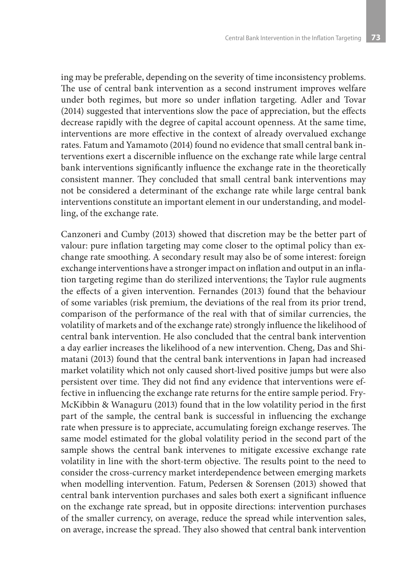ing may be preferable, depending on the severity of time inconsistency problems. The use of central bank intervention as a second instrument improves welfare under both regimes, but more so under inflation targeting. Adler and Tovar (2014) suggested that interventions slow the pace of appreciation, but the effects decrease rapidly with the degree of capital account openness. At the same time, interventions are more effective in the context of already overvalued exchange rates. Fatum and Yamamoto (2014) found no evidence that small central bank interventions exert a discernible influence on the exchange rate while large central bank interventions significantly influence the exchange rate in the theoretically consistent manner. They concluded that small central bank interventions may not be considered a determinant of the exchange rate while large central bank interventions constitute an important element in our understanding, and modelling, of the exchange rate.

Canzoneri and Cumby (2013) showed that discretion may be the better part of valour: pure inflation targeting may come closer to the optimal policy than exchange rate smoothing. A secondary result may also be of some interest: foreign exchange interventions have a stronger impact on inflation and output in an inflation targeting regime than do sterilized interventions; the Taylor rule augments the effects of a given intervention. Fernandes (2013) found that the behaviour of some variables (risk premium, the deviations of the real from its prior trend, comparison of the performance of the real with that of similar currencies, the volatility of markets and of the exchange rate) strongly influence the likelihood of central bank intervention. He also concluded that the central bank intervention a day earlier increases the likelihood of a new intervention. Cheng, Das and Shimatani (2013) found that the central bank interventions in Japan had increased market volatility which not only caused short-lived positive jumps but were also persistent over time. They did not find any evidence that interventions were effective in influencing the exchange rate returns for the entire sample period. Fry-McKibbin & Wanaguru (2013) found that in the low volatility period in the first part of the sample, the central bank is successful in influencing the exchange rate when pressure is to appreciate, accumulating foreign exchange reserves. The same model estimated for the global volatility period in the second part of the sample shows the central bank intervenes to mitigate excessive exchange rate volatility in line with the short-term objective. The results point to the need to consider the cross-currency market interdependence between emerging markets when modelling intervention. Fatum, Pedersen & Sorensen (2013) showed that central bank intervention purchases and sales both exert a significant influence on the exchange rate spread, but in opposite directions: intervention purchases of the smaller currency, on average, reduce the spread while intervention sales, on average, increase the spread. They also showed that central bank intervention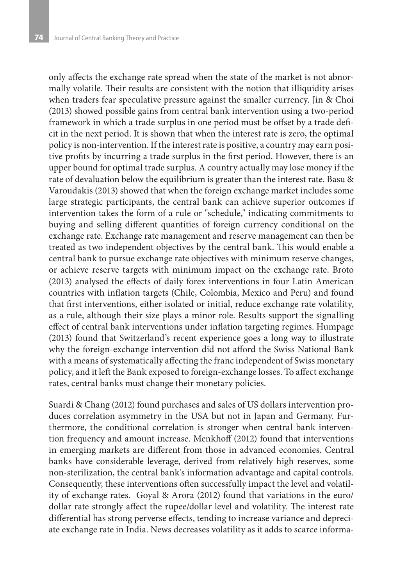only affects the exchange rate spread when the state of the market is not abnormally volatile. Their results are consistent with the notion that illiquidity arises when traders fear speculative pressure against the smaller currency. Jin & Choi (2013) showed possible gains from central bank intervention using a two-period framework in which a trade surplus in one period must be offset by a trade deficit in the next period. It is shown that when the interest rate is zero, the optimal policy is non-intervention. If the interest rate is positive, a country may earn positive profits by incurring a trade surplus in the first period. However, there is an upper bound for optimal trade surplus. A country actually may lose money if the rate of devaluation below the equilibrium is greater than the interest rate. Basu & Varoudakis (2013) showed that when the foreign exchange market includes some large strategic participants, the central bank can achieve superior outcomes if intervention takes the form of a rule or "schedule," indicating commitments to buying and selling different quantities of foreign currency conditional on the exchange rate. Exchange rate management and reserve management can then be treated as two independent objectives by the central bank. This would enable a central bank to pursue exchange rate objectives with minimum reserve changes, or achieve reserve targets with minimum impact on the exchange rate. Broto (2013) analysed the effects of daily forex interventions in four Latin American countries with inflation targets (Chile, Colombia, Mexico and Peru) and found that first interventions, either isolated or initial, reduce exchange rate volatility, as a rule, although their size plays a minor role. Results support the signalling effect of central bank interventions under inflation targeting regimes. Humpage (2013) found that Switzerland's recent experience goes a long way to illustrate why the foreign-exchange intervention did not afford the Swiss National Bank with a means of systematically affecting the franc independent of Swiss monetary policy, and it left the Bank exposed to foreign-exchange losses. To affect exchange rates, central banks must change their monetary policies.

Suardi & Chang (2012) found purchases and sales of US dollars intervention produces correlation asymmetry in the USA but not in Japan and Germany. Furthermore, the conditional correlation is stronger when central bank intervention frequency and amount increase. Menkhoff (2012) found that interventions in emerging markets are different from those in advanced economies. Central banks have considerable leverage, derived from relatively high reserves, some non-sterilization, the central bank's information advantage and capital controls. Consequently, these interventions often successfully impact the level and volatility of exchange rates. Goyal & Arora (2012) found that variations in the euro/ dollar rate strongly affect the rupee/dollar level and volatility. The interest rate differential has strong perverse effects, tending to increase variance and depreciate exchange rate in India. News decreases volatility as it adds to scarce informa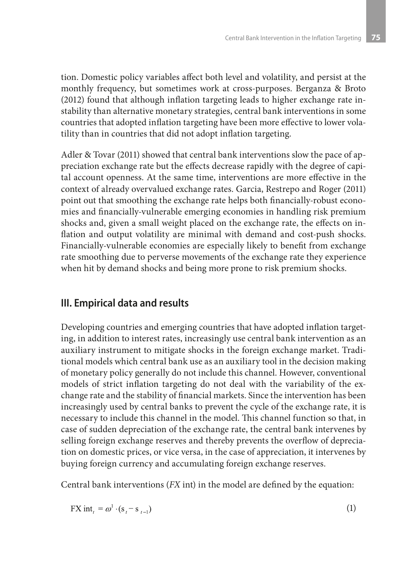tion. Domestic policy variables affect both level and volatility, and persist at the monthly frequency, but sometimes work at cross-purposes. Berganza & Broto (2012) found that although inflation targeting leads to higher exchange rate instability than alternative monetary strategies, central bank interventions in some countries that adopted inflation targeting have been more effective to lower volatility than in countries that did not adopt inflation targeting.

Adler & Tovar (2011) showed that central bank interventions slow the pace of appreciation exchange rate but the effects decrease rapidly with the degree of capital account openness. At the same time, interventions are more effective in the context of already overvalued exchange rates. Garcia, Restrepo and Roger (2011) point out that smoothing the exchange rate helps both financially-robust economies and financially-vulnerable emerging economies in handling risk premium shocks and, given a small weight placed on the exchange rate, the effects on inflation and output volatility are minimal with demand and cost-push shocks. Financially-vulnerable economies are especially likely to benefit from exchange rate smoothing due to perverse movements of the exchange rate they experience when hit by demand shocks and being more prone to risk premium shocks.

### **III. Empirical data and results**

Developing countries and emerging countries that have adopted inflation targeting, in addition to interest rates, increasingly use central bank intervention as an auxiliary instrument to mitigate shocks in the foreign exchange market. Traditional models which central bank use as an auxiliary tool in the decision making of monetary policy generally do not include this channel. However, conventional models of strict inflation targeting do not deal with the variability of the exchange rate and the stability of financial markets. Since the intervention has been increasingly used by central banks to prevent the cycle of the exchange rate, it is necessary to include this channel in the model. This channel function so that, in case of sudden depreciation of the exchange rate, the central bank intervenes by selling foreign exchange reserves and thereby prevents the overflow of depreciation on domestic prices, or vice versa, in the case of appreciation, it intervenes by buying foreign currency and accumulating foreign exchange reserves.

Central bank interventions (*FX* int) in the model are defined by the equation:

$$
FX \text{ int}_{t} = \omega^1 \cdot (s_t - s_{t-1}) \tag{1}
$$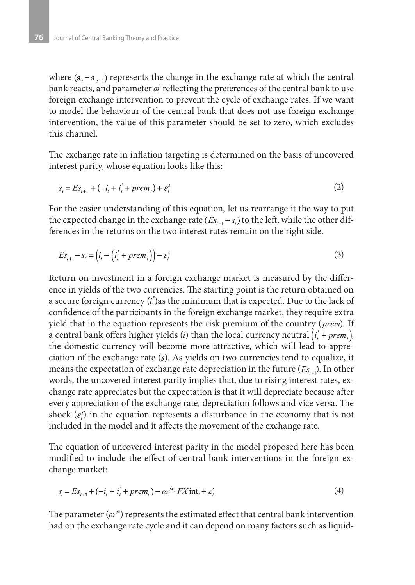where  $(s, -s_{n-1})$  represents the change in the exchange rate at which the central bank reacts, and parameter  $\omega^1$  reflecting the preferences of the central bank to use foreign exchange intervention to prevent the cycle of exchange rates. If we want to model the behaviour of the central bank that does not use foreign exchange intervention, the value of this parameter should be set to zero, which excludes this channel.

The exchange rate in inflation targeting is determined on the basis of uncovered interest parity, whose equation looks like this:

$$
s_{t} = Es_{t+1} + (-i_{t} + i_{t}^{*} + prem_{t}) + \varepsilon_{t}^{s}
$$
 (2)

For the easier understanding of this equation, let us rearrange it the way to put the expected change in the exchange rate  $(Es_{t+1} - s_t)$  to the left, while the other differences in the returns on the two interest rates remain on the right side.

$$
Es_{t+1} - s_t = \left(i_t - \left(i_t^* + prem_t\right)\right) - \varepsilon_t^s \tag{3}
$$

Return on investment in a foreign exchange market is measured by the difference in yields of the two currencies. The starting point is the return obtained on a secure foreign currency  $(i)$  as the minimum that is expected. Due to the lack of confidence of the participants in the foreign exchange market, they require extra yield that in the equation represents the risk premium of the country (prem). If a central bank offers higher yields (*i*) than the local currency neutral  $(i + prem)$ , the domestic currency will become more attractive, which will lead to appreciation of the exchange rate  $(s)$ . As yields on two currencies tend to equalize, it means the expectation of exchange rate depreciation in the future  $(E_{S_{i,j}})$ . In other words, the uncovered interest parity implies that, due to rising interest rates, exchange rate appreciates but the expectation is that it will depreciate because after every appreciation of the exchange rate, depreciation follows and vice versa. The shock  $(\varepsilon)$  in the equation represents a disturbance in the economy that is not included in the model and it affects the movement of the exchange rate.

The equation of uncovered interest parity in the model proposed here has been modified to include the effect of central bank interventions in the foreign exchange market:

$$
s_{t} = Es_{t+1} + (-i_{t} + i_{t}^{*} + prem_{t}) - \omega^{fs} \cdot FX \text{int}_{t} + \varepsilon_{t}^{s}
$$
(4)

The parameter ( $\omega^{f(x)}$ ) represents the estimated effect that central bank intervention had on the exchange rate cycle and it can depend on many factors such as liquid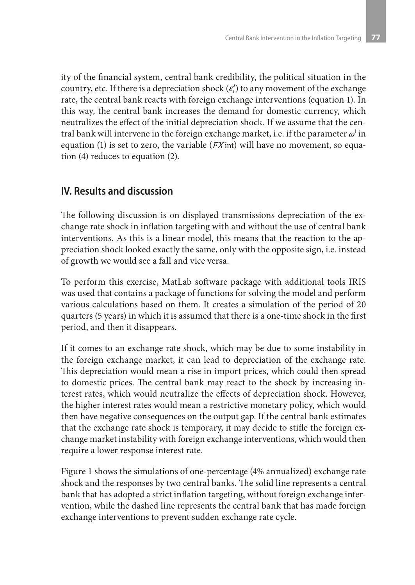ity of the financial system, central bank credibility, the political situation in the country, etc. If there is a depreciation shock  $(\varepsilon)$  to any movement of the exchange rate, the central bank reacts with foreign exchange interventions (equation 1). In this way, the central bank increases the demand for domestic currency, which neutralizes the effect of the initial depreciation shock. If we assume that the central bank will intervene in the foreign exchange market, i.e. if the parameter  $\omega^{\dagger}$  in equation (1) is set to zero, the variable ( $FX$ int) will have no movement, so equation (4) reduces to equation (2).

# **IV. Results and discussion**

The following discussion is on displayed transmissions depreciation of the exchange rate shock in inflation targeting with and without the use of central bank interventions. As this is a linear model, this means that the reaction to the appreciation shock looked exactly the same, only with the opposite sign, i.e. instead of growth we would see a fall and vice versa.

To perform this exercise, MatLab software package with additional tools IRIS was used that contains a package of functions for solving the model and perform various calculations based on them. It creates a simulation of the period of 20 quarters (5 years) in which it is assumed that there is a one-time shock in the first period, and then it disappears.

If it comes to an exchange rate shock, which may be due to some instability in the foreign exchange market, it can lead to depreciation of the exchange rate. This depreciation would mean a rise in import prices, which could then spread to domestic prices. The central bank may react to the shock by increasing interest rates, which would neutralize the effects of depreciation shock. However, the higher interest rates would mean a restrictive monetary policy, which would then have negative consequences on the output gap. If the central bank estimates that the exchange rate shock is temporary, it may decide to stifle the foreign exchange market instability with foreign exchange interventions, which would then require a lower response interest rate.

Figure 1 shows the simulations of one-percentage (4% annualized) exchange rate shock and the responses by two central banks. The solid line represents a central bank that has adopted a strict inflation targeting, without foreign exchange intervention, while the dashed line represents the central bank that has made foreign exchange interventions to prevent sudden exchange rate cycle.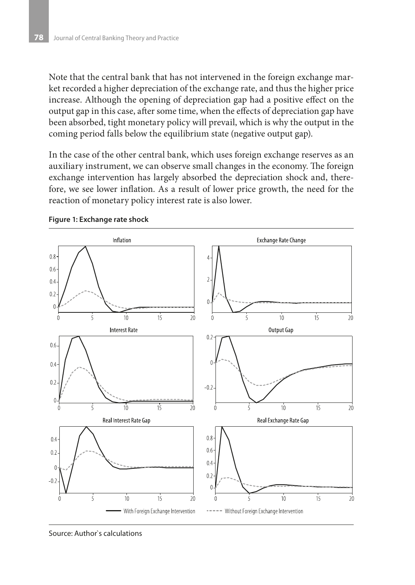Note that the central bank that has not intervened in the foreign exchange market recorded a higher depreciation of the exchange rate, and thus the higher price increase. Although the opening of depreciation gap had a positive effect on the output gap in this case, after some time, when the effects of depreciation gap have been absorbed, tight monetary policy will prevail, which is why the output in the coming period falls below the equilibrium state (negative output gap).

In the case of the other central bank, which uses foreign exchange reserves as an auxiliary instrument, we can observe small changes in the economy. The foreign exchange intervention has largely absorbed the depreciation shock and, therefore, we see lower inflation. As a result of lower price growth, the need for the reaction of monetary policy interest rate is also lower.



**Figure 1: Exchange rate shock**

Source: Author`s calculations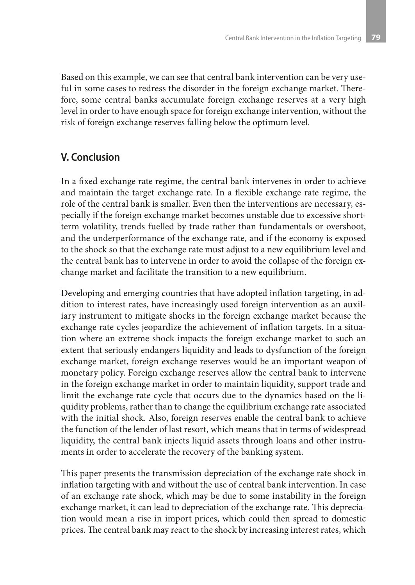Based on this example, we can see that central bank intervention can be very useful in some cases to redress the disorder in the foreign exchange market. Therefore, some central banks accumulate foreign exchange reserves at a very high level in order to have enough space for foreign exchange intervention, without the risk of foreign exchange reserves falling below the optimum level.

## **V. Conclusion**

In a fixed exchange rate regime, the central bank intervenes in order to achieve and maintain the target exchange rate. In a flexible exchange rate regime, the role of the central bank is smaller. Even then the interventions are necessary, especially if the foreign exchange market becomes unstable due to excessive shortterm volatility, trends fuelled by trade rather than fundamentals or overshoot, and the underperformance of the exchange rate, and if the economy is exposed to the shock so that the exchange rate must adjust to a new equilibrium level and the central bank has to intervene in order to avoid the collapse of the foreign exchange market and facilitate the transition to a new equilibrium.

Developing and emerging countries that have adopted inflation targeting, in addition to interest rates, have increasingly used foreign intervention as an auxiliary instrument to mitigate shocks in the foreign exchange market because the exchange rate cycles jeopardize the achievement of inflation targets. In a situation where an extreme shock impacts the foreign exchange market to such an extent that seriously endangers liquidity and leads to dysfunction of the foreign exchange market, foreign exchange reserves would be an important weapon of monetary policy. Foreign exchange reserves allow the central bank to intervene in the foreign exchange market in order to maintain liquidity, support trade and limit the exchange rate cycle that occurs due to the dynamics based on the liquidity problems, rather than to change the equilibrium exchange rate associated with the initial shock. Also, foreign reserves enable the central bank to achieve the function of the lender of last resort, which means that in terms of widespread liquidity, the central bank injects liquid assets through loans and other instruments in order to accelerate the recovery of the banking system.

This paper presents the transmission depreciation of the exchange rate shock in inflation targeting with and without the use of central bank intervention. In case of an exchange rate shock, which may be due to some instability in the foreign exchange market, it can lead to depreciation of the exchange rate. This depreciation would mean a rise in import prices, which could then spread to domestic prices. The central bank may react to the shock by increasing interest rates, which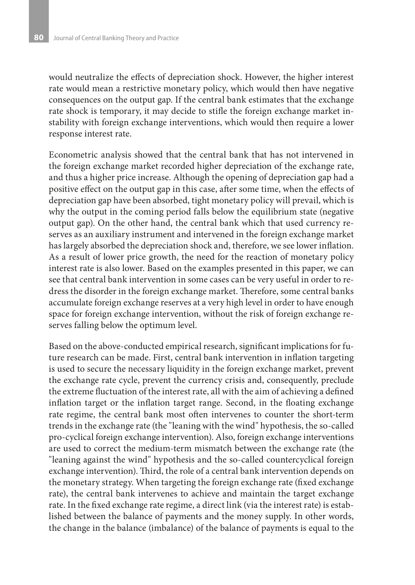would neutralize the effects of depreciation shock. However, the higher interest rate would mean a restrictive monetary policy, which would then have negative consequences on the output gap. If the central bank estimates that the exchange rate shock is temporary, it may decide to stifle the foreign exchange market instability with foreign exchange interventions, which would then require a lower response interest rate.

Econometric analysis showed that the central bank that has not intervened in the foreign exchange market recorded higher depreciation of the exchange rate, and thus a higher price increase. Although the opening of depreciation gap had a positive effect on the output gap in this case, after some time, when the effects of depreciation gap have been absorbed, tight monetary policy will prevail, which is why the output in the coming period falls below the equilibrium state (negative output gap). On the other hand, the central bank which that used currency reserves as an auxiliary instrument and intervened in the foreign exchange market has largely absorbed the depreciation shock and, therefore, we see lower inflation. As a result of lower price growth, the need for the reaction of monetary policy interest rate is also lower. Based on the examples presented in this paper, we can see that central bank intervention in some cases can be very useful in order to redress the disorder in the foreign exchange market. Therefore, some central banks accumulate foreign exchange reserves at a very high level in order to have enough space for foreign exchange intervention, without the risk of foreign exchange reserves falling below the optimum level.

Based on the above-conducted empirical research, significant implications for future research can be made. First, central bank intervention in inflation targeting is used to secure the necessary liquidity in the foreign exchange market, prevent the exchange rate cycle, prevent the currency crisis and, consequently, preclude the extreme fluctuation of the interest rate, all with the aim of achieving a defined inflation target or the inflation target range. Second, in the floating exchange rate regime, the central bank most often intervenes to counter the short-term trends in the exchange rate (the "leaning with the wind" hypothesis, the so-called pro-cyclical foreign exchange intervention). Also, foreign exchange interventions are used to correct the medium-term mismatch between the exchange rate (the "leaning against the wind" hypothesis and the so-called countercyclical foreign exchange intervention). Third, the role of a central bank intervention depends on the monetary strategy. When targeting the foreign exchange rate (fixed exchange rate), the central bank intervenes to achieve and maintain the target exchange rate. In the fixed exchange rate regime, a direct link (via the interest rate) is established between the balance of payments and the money supply. In other words, the change in the balance (imbalance) of the balance of payments is equal to the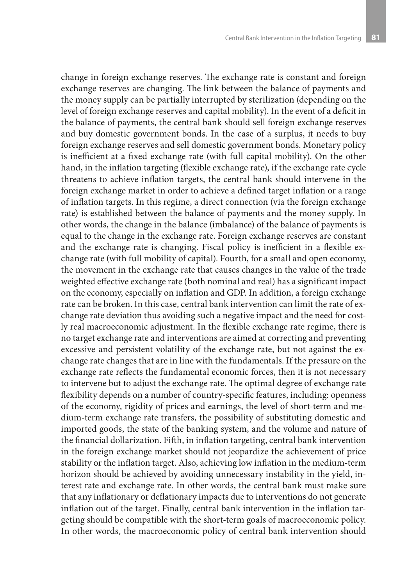change in foreign exchange reserves. The exchange rate is constant and foreign exchange reserves are changing. The link between the balance of payments and the money supply can be partially interrupted by sterilization (depending on the level of foreign exchange reserves and capital mobility). In the event of a deficit in the balance of payments, the central bank should sell foreign exchange reserves and buy domestic government bonds. In the case of a surplus, it needs to buy foreign exchange reserves and sell domestic government bonds. Monetary policy is inefficient at a fixed exchange rate (with full capital mobility). On the other hand, in the inflation targeting (flexible exchange rate), if the exchange rate cycle threatens to achieve inflation targets, the central bank should intervene in the foreign exchange market in order to achieve a defined target inflation or a range of inflation targets. In this regime, a direct connection (via the foreign exchange rate) is established between the balance of payments and the money supply. In other words, the change in the balance (imbalance) of the balance of payments is equal to the change in the exchange rate. Foreign exchange reserves are constant and the exchange rate is changing. Fiscal policy is inefficient in a flexible exchange rate (with full mobility of capital). Fourth, for a small and open economy, the movement in the exchange rate that causes changes in the value of the trade weighted effective exchange rate (both nominal and real) has a significant impact on the economy, especially on inflation and GDP. In addition, a foreign exchange rate can be broken. In this case, central bank intervention can limit the rate of exchange rate deviation thus avoiding such a negative impact and the need for costly real macroeconomic adjustment. In the flexible exchange rate regime, there is no target exchange rate and interventions are aimed at correcting and preventing excessive and persistent volatility of the exchange rate, but not against the exchange rate changes that are in line with the fundamentals. If the pressure on the exchange rate reflects the fundamental economic forces, then it is not necessary to intervene but to adjust the exchange rate. The optimal degree of exchange rate flexibility depends on a number of country-specific features, including: openness of the economy, rigidity of prices and earnings, the level of short-term and medium-term exchange rate transfers, the possibility of substituting domestic and imported goods, the state of the banking system, and the volume and nature of the financial dollarization. Fifth, in inflation targeting, central bank intervention in the foreign exchange market should not jeopardize the achievement of price stability or the inflation target. Also, achieving low inflation in the medium-term horizon should be achieved by avoiding unnecessary instability in the yield, interest rate and exchange rate. In other words, the central bank must make sure that any inflationary or deflationary impacts due to interventions do not generate inflation out of the target. Finally, central bank intervention in the inflation targeting should be compatible with the short-term goals of macroeconomic policy. In other words, the macroeconomic policy of central bank intervention should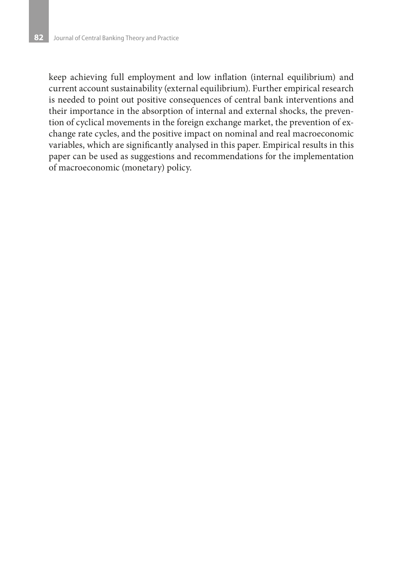keep achieving full employment and low inflation (internal equilibrium) and current account sustainability (external equilibrium). Further empirical research is needed to point out positive consequences of central bank interventions and their importance in the absorption of internal and external shocks, the prevention of cyclical movements in the foreign exchange market, the prevention of exchange rate cycles, and the positive impact on nominal and real macroeconomic variables, which are significantly analysed in this paper. Empirical results in this paper can be used as suggestions and recommendations for the implementation of macroeconomic (monetary) policy.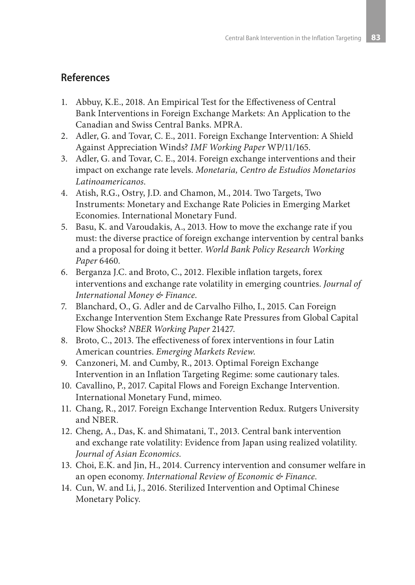#### **References**

- 1. Abbuy, K.E., 2018. An Empirical Test for the Effectiveness of Central Bank Interventions in Foreign Exchange Markets: An Application to the Canadian and Swiss Central Banks. MPRA.
- 2. Adler, G. and Tovar, C. E., 2011. Foreign Exchange Intervention: A Shield Against Appreciation Winds? *IMF Working Paper* WP/11/165.
- 3. Adler, G. and Tovar, C. E., 2014. Foreign exchange interventions and their impact on exchange rate levels. *Monetaria, Centro de Estudios Monetarios Latinoamericanos*.
- 4. Atish, R.G., Ostry, J.D. and Chamon, M., 2014. Two Targets, Two Instruments: Monetary and Exchange Rate Policies in Emerging Market Economies. International Monetary Fund.
- 5. Basu, K. and Varoudakis, A., 2013. How to move the exchange rate if you must: the diverse practice of foreign exchange intervention by central banks and a proposal for doing it better. *World Bank Policy Research Working Paper* 6460.
- 6. Berganza J.C. and Broto, C., 2012. Flexible inflation targets, forex interventions and exchange rate volatility in emerging countries. *Journal of International Money & Finance*.
- 7. Blanchard, O., G. Adler and de Carvalho Filho, I., 2015. Can Foreign Exchange Intervention Stem Exchange Rate Pressures from Global Capital Flow Shocks? *NBER Working Paper* 21427.
- 8. Broto, C., 2013. The effectiveness of forex interventions in four Latin American countries. *Emerging Markets Review*.
- 9. Canzoneri, M. and Cumby, R., 2013. Optimal Foreign Exchange Intervention in an Inflation Targeting Regime: some cautionary tales.
- 10. Cavallino, P., 2017. Capital Flows and Foreign Exchange Intervention. International Monetary Fund, mimeo.
- 11. Chang, R., 2017. Foreign Exchange Intervention Redux. Rutgers University and NBER.
- 12. Cheng, A., Das, K. and Shimatani, T., 2013. Central bank intervention and exchange rate volatility: Evidence from Japan using realized volatility. *Journal of Asian Economics*.
- 13. Choi, E.K. and Jin, H., 2014. Currency intervention and consumer welfare in an open economy. *International Review of Economic & Finance*.
- 14. Cun, W. and Li, J., 2016. Sterilized Intervention and Optimal Chinese Monetary Policy.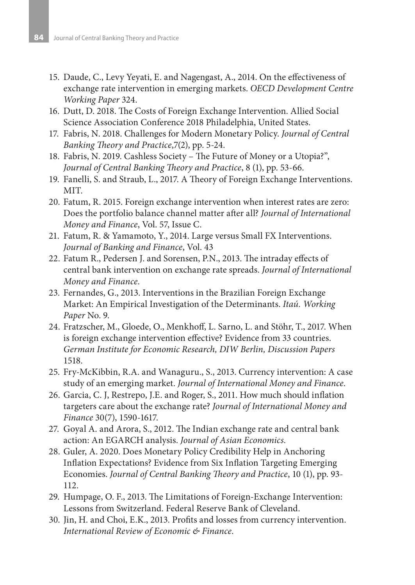- 15. Daude, C., Levy Yeyati, E. and Nagengast, A., 2014. On the effectiveness of exchange rate intervention in emerging markets. *OECD Development Centre Working Paper* 324.
- 16. Dutt, D. 2018. The Costs of Foreign Exchange Intervention. Allied Social Science Association Conference 2018 Philadelphia, United States.
- 17. Fabris, N. 2018. Challenges for Modern Monetary Policy. *Journal of Central Banking Theory and Practice*,7(2), pp. 5-24.
- 18. Fabris, N. 2019. Cashless Society The Future of Money or a Utopia?", *Journal of Central Banking Theory and Practice*, 8 (1), pp. 53-66.
- 19. Fanelli, S. and Straub, L., 2017. A Theory of Foreign Exchange Interventions. MIT.
- 20. Fatum, R. 2015. Foreign exchange intervention when interest rates are zero: Does the portfolio balance channel matter after all? *Journal of International Money and Finance*, Vol. 57, Issue C.
- 21. Fatum, R. & Yamamoto, Y., 2014. Large versus Small FX Interventions. *Journal of Banking and Finance*, Vol. 43
- 22. Fatum R., Pedersen J. and Sorensen, P.N., 2013. The intraday effects of central bank intervention on exchange rate spreads. *Journal of International Money and Finance*.
- 23. Fernandes, G., 2013. Interventions in the Brazilian Foreign Exchange Market: An Empirical Investigation of the Determinants. *Itaú. Working Paper* No. 9.
- 24. Fratzscher, M., Gloede, O., Menkhoff, L. Sarno, L. and Stöhr, T., 2017. When is foreign exchange intervention effective? Evidence from 33 countries. *German Institute for Economic Research, DIW Berlin, Discussion Papers* 1518.
- 25. Fry-McKibbin, R.A. and Wanaguru., S., 2013. Currency intervention: A case study of an emerging market. *Journal of International Money and Finance*.
- 26. Garcia, C. J, Restrepo, J.E. and Roger, S., 2011. How much should inflation targeters care about the exchange rate? *Journal of International Money and Finance* 30(7), 1590-1617.
- 27. Goyal A. and Arora, S., 2012. The Indian exchange rate and central bank action: An EGARCH analysis. *Journal of Asian Economics*.
- 28. Guler, A. 2020. Does Monetary Policy Credibility Help in Anchoring Inflation Expectations? Evidence from Six Inflation Targeting Emerging Economies. *Journal of Central Banking Theory and Practice*, 10 (1), pp. 93- 112.
- 29. Humpage, O. F., 2013. The Limitations of Foreign-Exchange Intervention: Lessons from Switzerland. Federal Reserve Bank of Cleveland.
- 30. Jin, H. and Choi, E.K., 2013. Profits and losses from currency intervention. *International Review of Economic & Finance*.